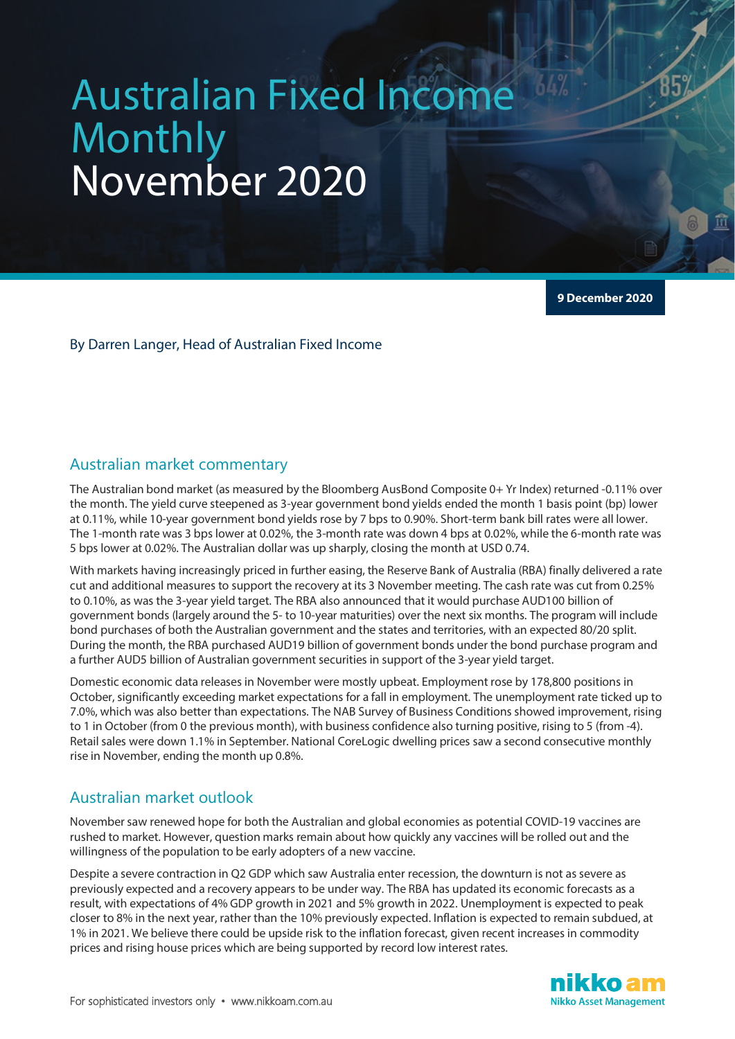# Australian Fixed Income Monthly November 2020

**9 December 2020**

#### By Darren Langer, Head of Australian Fixed Income

## Australian market commentary

The Australian bond market (as measured by the Bloomberg AusBond Composite 0+ Yr Index) returned -0.11% over the month. The yield curve steepened as 3-year government bond yields ended the month 1 basis point (bp) lower at 0.11%, while 10-year government bond yields rose by 7 bps to 0.90%. Short-term bank bill rates were all lower. The 1-month rate was 3 bps lower at 0.02%, the 3-month rate was down 4 bps at 0.02%, while the 6-month rate was 5 bps lower at 0.02%. The Australian dollar was up sharply, closing the month at USD 0.74.

With markets having increasingly priced in further easing, the Reserve Bank of Australia (RBA) finally delivered a rate cut and additional measures to support the recovery at its 3 November meeting. The cash rate was cut from 0.25% to 0.10%, as was the 3-year yield target. The RBA also announced that it would purchase AUD100 billion of government bonds (largely around the 5- to 10-year maturities) over the next six months. The program will include bond purchases of both the Australian government and the states and territories, with an expected 80/20 split. During the month, the RBA purchased AUD19 billion of government bonds under the bond purchase program and a further AUD5 billion of Australian government securities in support of the 3-year yield target.

Domestic economic data releases in November were mostly upbeat. Employment rose by 178,800 positions in October, significantly exceeding market expectations for a fall in employment. The unemployment rate ticked up to 7.0%, which was also better than expectations. The NAB Survey of Business Conditions showed improvement, rising to 1 in October (from 0 the previous month), with business confidence also turning positive, rising to 5 (from -4). Retail sales were down 1.1% in September. National CoreLogic dwelling prices saw a second consecutive monthly rise in November, ending the month up 0.8%.

#### Australian market outlook

November saw renewed hope for both the Australian and global economies as potential COVID-19 vaccines are rushed to market. However, question marks remain about how quickly any vaccines will be rolled out and the willingness of the population to be early adopters of a new vaccine.

Despite a severe contraction in Q2 GDP which saw Australia enter recession, the downturn is not as severe as previously expected and a recovery appears to be under way. The RBA has updated its economic forecasts as a result, with expectations of 4% GDP growth in 2021 and 5% growth in 2022. Unemployment is expected to peak closer to 8% in the next year, rather than the 10% previously expected. Inflation is expected to remain subdued, at 1% in 2021. We believe there could be upside risk to the inflation forecast, given recent increases in commodity prices and rising house prices which are being supported by record low interest rates.

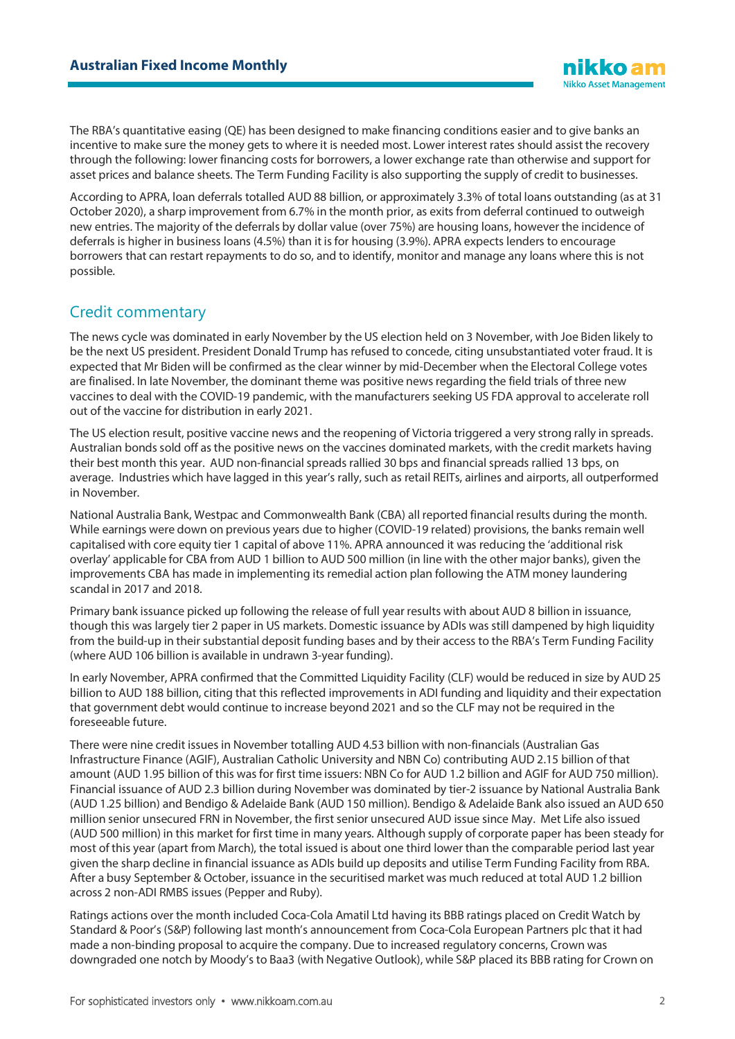The RBA's quantitative easing (QE) has been designed to make financing conditions easier and to give banks an incentive to make sure the money gets to where it is needed most. Lower interest rates should assist the recovery through the following: lower financing costs for borrowers, a lower exchange rate than otherwise and support for asset prices and balance sheets. The Term Funding Facility is also supporting the supply of credit to businesses.

According to APRA, loan deferrals totalled AUD 88 billion, or approximately 3.3% of total loans outstanding (as at 31 October 2020), a sharp improvement from 6.7% in the month prior, as exits from deferral continued to outweigh new entries. The majority of the deferrals by dollar value (over 75%) are housing loans, however the incidence of deferrals is higher in business loans (4.5%) than it is for housing (3.9%). APRA expects lenders to encourage borrowers that can restart repayments to do so, and to identify, monitor and manage any loans where this is not possible.

## Credit commentary

The news cycle was dominated in early November by the US election held on 3 November, with Joe Biden likely to be the next US president. President Donald Trump has refused to concede, citing unsubstantiated voter fraud. It is expected that Mr Biden will be confirmed as the clear winner by mid-December when the Electoral College votes are finalised. In late November, the dominant theme was positive news regarding the field trials of three new vaccines to deal with the COVID-19 pandemic, with the manufacturers seeking US FDA approval to accelerate roll out of the vaccine for distribution in early 2021.

The US election result, positive vaccine news and the reopening of Victoria triggered a very strong rally in spreads. Australian bonds sold off as the positive news on the vaccines dominated markets, with the credit markets having their best month this year. AUD non-financial spreads rallied 30 bps and financial spreads rallied 13 bps, on average. Industries which have lagged in this year's rally, such as retail REITs, airlines and airports, all outperformed in November.

National Australia Bank, Westpac and Commonwealth Bank (CBA) all reported financial results during the month. While earnings were down on previous years due to higher (COVID-19 related) provisions, the banks remain well capitalised with core equity tier 1 capital of above 11%. APRA announced it was reducing the 'additional risk overlay' applicable for CBA from AUD 1 billion to AUD 500 million (in line with the other major banks), given the improvements CBA has made in implementing its remedial action plan following the ATM money laundering scandal in 2017 and 2018.

Primary bank issuance picked up following the release of full year results with about AUD 8 billion in issuance, though this was largely tier 2 paper in US markets. Domestic issuance by ADIs was still dampened by high liquidity from the build-up in their substantial deposit funding bases and by their access to the RBA's Term Funding Facility (where AUD 106 billion is available in undrawn 3-year funding).

In early November, APRA confirmed that the Committed Liquidity Facility (CLF) would be reduced in size by AUD 25 billion to AUD 188 billion, citing that this reflected improvements in ADI funding and liquidity and their expectation that government debt would continue to increase beyond 2021 and so the CLF may not be required in the foreseeable future.

There were nine credit issues in November totalling AUD 4.53 billion with non-financials (Australian Gas Infrastructure Finance (AGIF), Australian Catholic University and NBN Co) contributing AUD 2.15 billion of that amount (AUD 1.95 billion of this was for first time issuers: NBN Co for AUD 1.2 billion and AGIF for AUD 750 million). Financial issuance of AUD 2.3 billion during November was dominated by tier-2 issuance by National Australia Bank (AUD 1.25 billion) and Bendigo & Adelaide Bank (AUD 150 million). Bendigo & Adelaide Bank also issued an AUD 650 million senior unsecured FRN in November, the first senior unsecured AUD issue since May. Met Life also issued (AUD 500 million) in this market for first time in many years. Although supply of corporate paper has been steady for most of this year (apart from March), the total issued is about one third lower than the comparable period last year given the sharp decline in financial issuance as ADIs build up deposits and utilise Term Funding Facility from RBA. After a busy September & October, issuance in the securitised market was much reduced at total AUD 1.2 billion across 2 non-ADI RMBS issues (Pepper and Ruby).

Ratings actions over the month included Coca-Cola Amatil Ltd having its BBB ratings placed on Credit Watch by Standard & Poor's (S&P) following last month's announcement from Coca-Cola European Partners plc that it had made a non-binding proposal to acquire the company. Due to increased regulatory concerns, Crown was downgraded one notch by Moody's to Baa3 (with Negative Outlook), while S&P placed its BBB rating for Crown on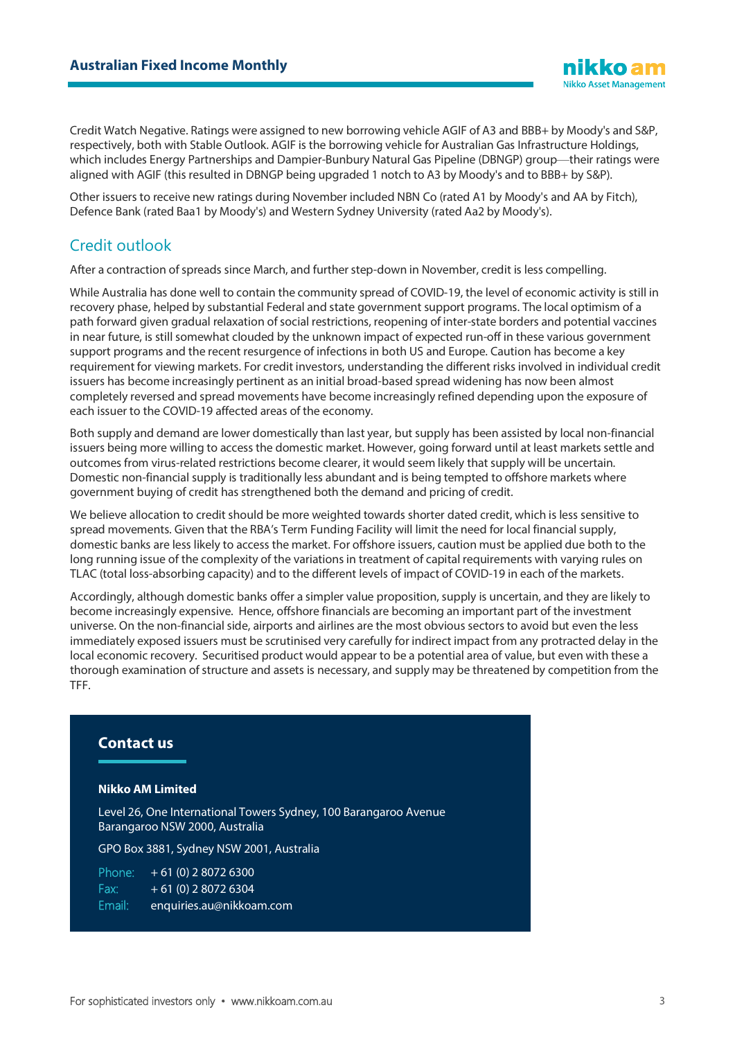Credit Watch Negative. Ratings were assigned to new borrowing vehicle AGIF of A3 and BBB+ by Moody's and S&P, respectively, both with Stable Outlook. AGIF is the borrowing vehicle for Australian Gas Infrastructure Holdings, which includes Energy Partnerships and Dampier-Bunbury Natural Gas Pipeline (DBNGP) group—their ratings were aligned with AGIF (this resulted in DBNGP being upgraded 1 notch to A3 by Moody's and to BBB+ by S&P).

Other issuers to receive new ratings during November included NBN Co (rated A1 by Moody's and AA by Fitch), Defence Bank (rated Baa1 by Moody's) and Western Sydney University (rated Aa2 by Moody's).

# Credit outlook

After a contraction of spreads since March, and further step-down in November, credit is less compelling.

While Australia has done well to contain the community spread of COVID-19, the level of economic activity is still in recovery phase, helped by substantial Federal and state government support programs. The local optimism of a path forward given gradual relaxation of social restrictions, reopening of inter-state borders and potential vaccines in near future, is still somewhat clouded by the unknown impact of expected run-off in these various government support programs and the recent resurgence of infections in both US and Europe. Caution has become a key requirement for viewing markets. For credit investors, understanding the different risks involved in individual credit issuers has become increasingly pertinent as an initial broad-based spread widening has now been almost completely reversed and spread movements have become increasingly refined depending upon the exposure of each issuer to the COVID-19 affected areas of the economy.

Both supply and demand are lower domestically than last year, but supply has been assisted by local non-financial issuers being more willing to access the domestic market. However, going forward until at least markets settle and outcomes from virus-related restrictions become clearer, it would seem likely that supply will be uncertain. Domestic non-financial supply is traditionally less abundant and is being tempted to offshore markets where government buying of credit has strengthened both the demand and pricing of credit.

We believe allocation to credit should be more weighted towards shorter dated credit, which is less sensitive to spread movements. Given that the RBA's Term Funding Facility will limit the need for local financial supply, domestic banks are less likely to access the market. For offshore issuers, caution must be applied due both to the long running issue of the complexity of the variations in treatment of capital requirements with varying rules on TLAC (total loss-absorbing capacity) and to the different levels of impact of COVID-19 in each of the markets.

Accordingly, although domestic banks offer a simpler value proposition, supply is uncertain, and they are likely to become increasingly expensive. Hence, offshore financials are becoming an important part of the investment universe. On the non-financial side, airports and airlines are the most obvious sectors to avoid but even the less immediately exposed issuers must be scrutinised very carefully for indirect impact from any protracted delay in the local economic recovery. Securitised product would appear to be a potential area of value, but even with these a thorough examination of structure and assets is necessary, and supply may be threatened by competition from the TFF.

#### **Contact us**

#### **Nikko AM Limited**

Level 26, One International Towers Sydney, 100 Barangaroo Avenue Barangaroo NSW 2000, Australia

GPO Box 3881, Sydney NSW 2001, Australia

Phone: + 61 (0) 2 8072 6300 Fax:  $+ 61 (0) 280726304$ Email: enquiries.au@nikkoam.com

iikko am **Nikko Asset Management**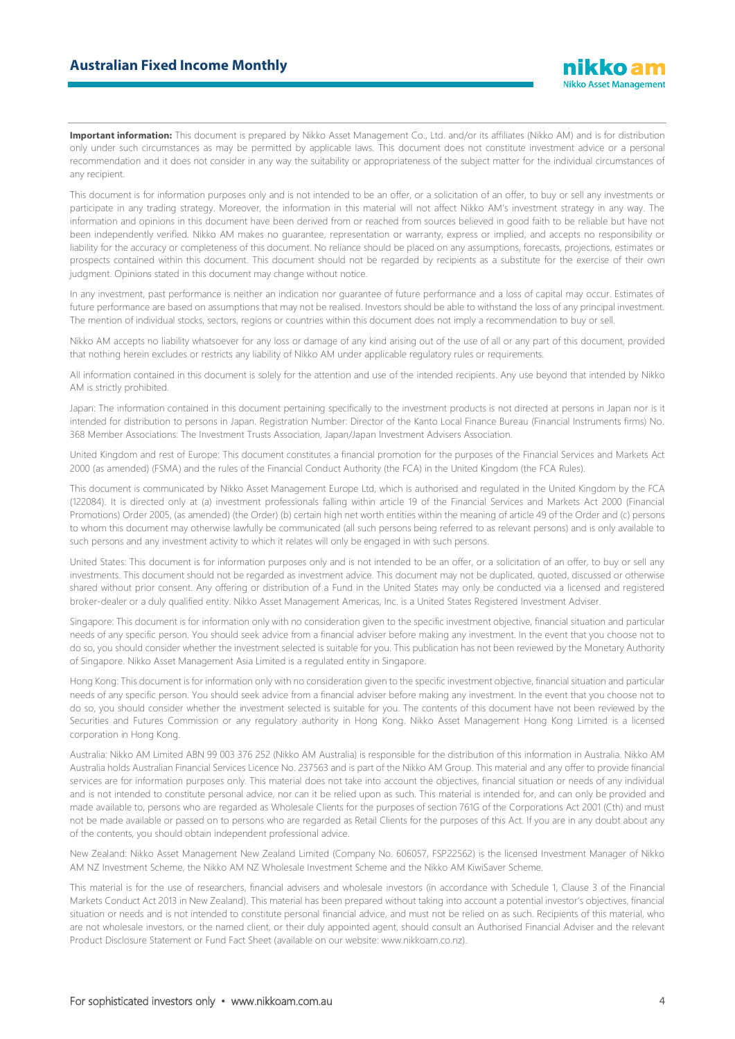Important information: This document is prepared by Nikko Asset Management Co., Ltd. and/or its affiliates (Nikko AM) and is for distribution only under such circumstances as may be permitted by applicable laws. This document does not constitute investment advice or a personal recommendation and it does not consider in any way the suitability or appropriateness of the subject matter for the individual circumstances of any recipient.

This document is for information purposes only and is not intended to be an offer, or a solicitation of an offer, to buy or sell any investments or participate in any trading strategy. Moreover, the information in this material will not affect Nikko AM's investment strategy in any way. The information and opinions in this document have been derived from or reached from sources believed in good faith to be reliable but have not been independently verified. Nikko AM makes no guarantee, representation or warranty, express or implied, and accepts no responsibility or liability for the accuracy or completeness of this document. No reliance should be placed on any assumptions, forecasts, projections, estimates or prospects contained within this document. This document should not be regarded by recipients as a substitute for the exercise of their own judgment. Opinions stated in this document may change without notice.

In any investment, past performance is neither an indication nor guarantee of future performance and a loss of capital may occur. Estimates of future performance are based on assumptions that may not be realised. Investors should be able to withstand the loss of any principal investment. The mention of individual stocks, sectors, regions or countries within this document does not imply a recommendation to buy or sell.

Nikko AM accepts no liability whatsoever for any loss or damage of any kind arising out of the use of all or any part of this document, provided that nothing herein excludes or restricts any liability of Nikko AM under applicable regulatory rules or requirements.

All information contained in this document is solely for the attention and use of the intended recipients. Any use beyond that intended by Nikko AM is strictly prohibited.

Japan: The information contained in this document pertaining specifically to the investment products is not directed at persons in Japan nor is it intended for distribution to persons in Japan. Registration Number: Director of the Kanto Local Finance Bureau (Financial Instruments firms) No. 368 Member Associations: The Investment Trusts Association, Japan/Japan Investment Advisers Association.

United Kingdom and rest of Europe: This document constitutes a financial promotion for the purposes of the Financial Services and Markets Act 2000 (as amended) (FSMA) and the rules of the Financial Conduct Authority (the FCA) in the United Kingdom (the FCA Rules).

This document is communicated by Nikko Asset Management Europe Ltd, which is authorised and regulated in the United Kingdom by the FCA (122084). It is directed only at (a) investment professionals falling within article 19 of the Financial Services and Markets Act 2000 (Financial Promotions) Order 2005, (as amended) (the Order) (b) certain high net worth entities within the meaning of article 49 of the Order and (c) persons to whom this document may otherwise lawfully be communicated (all such persons being referred to as relevant persons) and is only available to such persons and any investment activity to which it relates will only be engaged in with such persons.

United States: This document is for information purposes only and is not intended to be an offer, or a solicitation of an offer, to buy or sell any investments. This document should not be regarded as investment advice. This document may not be duplicated, quoted, discussed or otherwise shared without prior consent. Any offering or distribution of a Fund in the United States may only be conducted via a licensed and registered broker-dealer or a duly qualified entity. Nikko Asset Management Americas, Inc. is a United States Registered Investment Adviser.

Singapore: This document is for information only with no consideration given to the specific investment objective, financial situation and particular needs of any specific person. You should seek advice from a financial adviser before making any investment. In the event that you choose not to do so, you should consider whether the investment selected is suitable for you. This publication has not been reviewed by the Monetary Authority of Singapore. Nikko Asset Management Asia Limited is a regulated entity in Singapore.

Hong Kong: This document is for information only with no consideration given to the specific investment objective, financial situation and particular needs of any specific person. You should seek advice from a financial adviser before making any investment. In the event that you choose not to do so, you should consider whether the investment selected is suitable for you. The contents of this document have not been reviewed by the Securities and Futures Commission or any regulatory authority in Hong Kong. Nikko Asset Management Hong Kong Limited is a licensed corporation in Hong Kong.

Australia: Nikko AM Limited ABN 99 003 376 252 (Nikko AM Australia) is responsible for the distribution of this information in Australia. Nikko AM Australia holds Australian Financial Services Licence No. 237563 and is part of the Nikko AM Group. This material and any offer to provide financial services are for information purposes only. This material does not take into account the objectives, financial situation or needs of any individual and is not intended to constitute personal advice, nor can it be relied upon as such. This material is intended for, and can only be provided and made available to, persons who are regarded as Wholesale Clients for the purposes of section 761G of the Corporations Act 2001 (Cth) and must not be made available or passed on to persons who are regarded as Retail Clients for the purposes of this Act. If you are in any doubt about any of the contents, you should obtain independent professional advice.

New Zealand: Nikko Asset Management New Zealand Limited (Company No. 606057, FSP22562) is the licensed Investment Manager of Nikko AM NZ Investment Scheme, the Nikko AM NZ Wholesale Investment Scheme and the Nikko AM KiwiSaver Scheme.

This material is for the use of researchers, financial advisers and wholesale investors (in accordance with Schedule 1, Clause 3 of the Financial Markets Conduct Act 2013 in New Zealand). This material has been prepared without taking into account a potential investor's objectives, financial situation or needs and is not intended to constitute personal financial advice, and must not be relied on as such. Recipients of this material, who are not wholesale investors, or the named client, or their duly appointed agent, should consult an Authorised Financial Adviser and the relevant Product Disclosure Statement or Fund Fact Sheet (available on our website: www.nikkoam.co.nz).